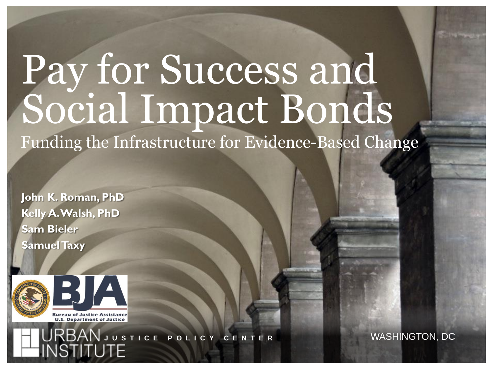# Pay for Success and Social Impact Bonds Funding the Infrastructure for Evidence-Based Change

**John K. Roman, PhD Kelly A. Walsh, PhD Sam Bieler Samuel Taxy**



**Bureau of Justice Assistance U.S. Department of Justice** 

*The views expressed are those of the authors and should not be attributed to the Urban Institute, its trustees, or its funders.* **J U S T I C E P O L I C Y C E N T E R** WASHINGTON, DC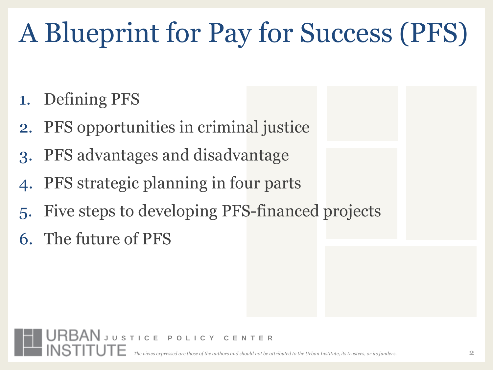## A Blueprint for Pay for Success (PFS)

- 1. Defining PFS
- 2. PFS opportunities in criminal justice
- 3. PFS advantages and disadvantage
- PFS strategic planning in four parts
- Five steps to developing PFS-financed projects
- 6. The future of PFS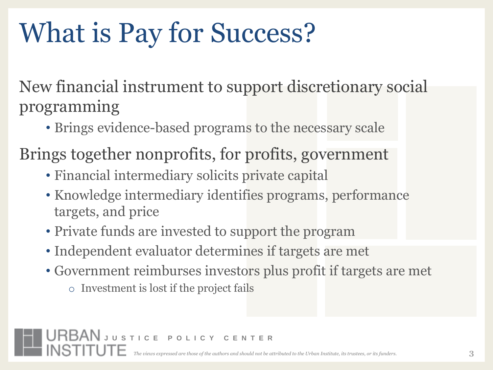## What is Pay for Success?

New financial instrument to support discretionary social programming

- Brings evidence-based programs to the necessary scale
- Brings together nonprofits, for profits, government
	- Financial intermediary solicits private capital
	- Knowledge intermediary identifies programs, performance targets, and price
	- Private funds are invested to support the program
	- Independent evaluator determines if targets are met
	- Government reimburses investors plus profit if targets are met
		- o Investment is lost if the project fails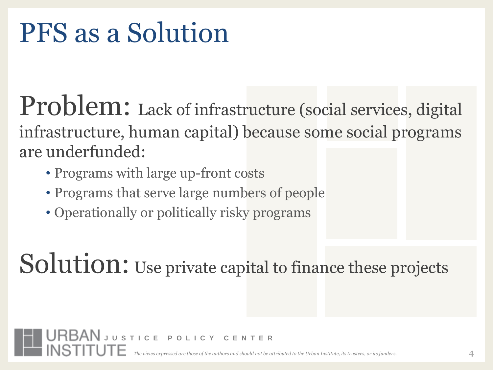#### PFS as a Solution

Problem: Lack of infrastructure (social services, digital infrastructure, human capital) because some social programs are underfunded:

- Programs with large up-front costs
- Programs that serve large numbers of people
- Operationally or politically risky programs

Solution: Use private capital to finance these projects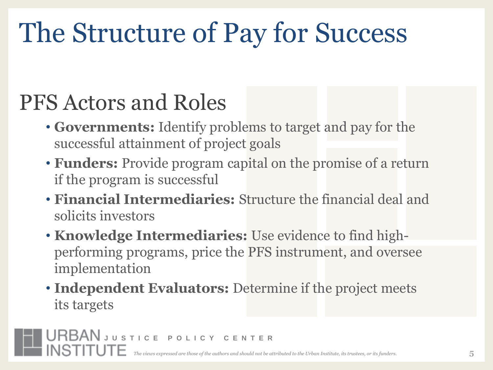## The Structure of Pay for Success

#### PFS Actors and Roles

- **Governments:** Identify problems to target and pay for the successful attainment of project goals
- **Funders:** Provide program capital on the promise of a return if the program is successful
- **Financial Intermediaries:** Structure the financial deal and solicits investors
- **Knowledge Intermediaries:** Use evidence to find highperforming programs, price the PFS instrument, and oversee implementation
- **Independent Evaluators:** Determine if the project meets its targets

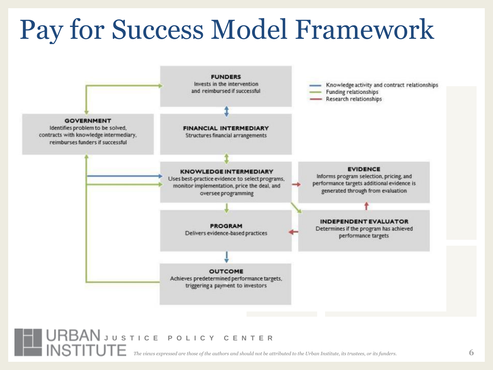#### Pay for Success Model Framework



#### **JURBAN** JUSTICE POLICY CENTER<br>INSTITUTE Treations contract for a discussion and choud and heat

*The views expressed are those of the authors and should not be attributed to the Urban Institute, its trustees, or its funders.*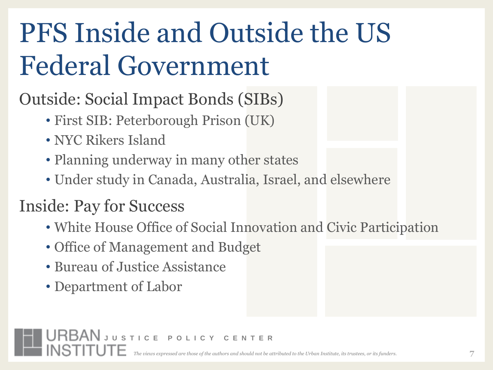## PFS Inside and Outside the US Federal Government

#### Outside: Social Impact Bonds (SIBs)

- First SIB: Peterborough Prison (UK)
- NYC Rikers Island
- Planning underway in many other states
- Under study in Canada, Australia, Israel, and elsewhere

#### Inside: Pay for Success

- White House Office of Social Innovation and Civic Participation
- Office of Management and Budget
- Bureau of Justice Assistance
- Department of Labor

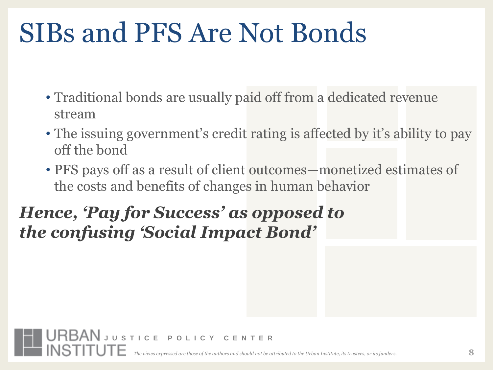### SIBs and PFS Are Not Bonds

- Traditional bonds are usually paid off from a dedicated revenue stream
- The issuing government's credit rating is affected by it's ability to pay off the bond
- PFS pays off as a result of client outcomes—monetized estimates of the costs and benefits of changes in human behavior

#### *Hence, 'Pay for Success' as opposed to the confusing 'Social Impact Bond'*

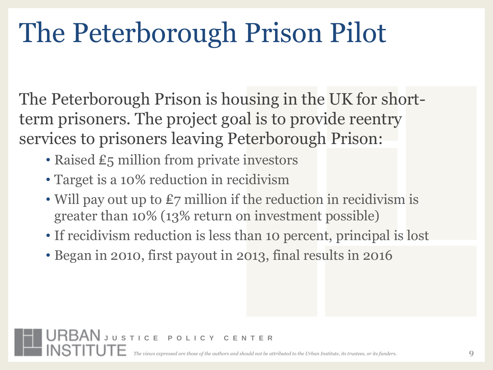## The Peterborough Prison Pilot

The Peterborough Prison is housing in the UK for shortterm prisoners. The project goal is to provide reentry services to prisoners leaving Peterborough Prison:

- Raised £5 million from private investors
- Target is a 10% reduction in recidivism
- Will pay out up to £7 million if the reduction in recidivism is greater than 10% (13% return on investment possible)
- If recidivism reduction is less than 10 percent, principal is lost
- Began in 2010, first payout in 2013, final results in 2016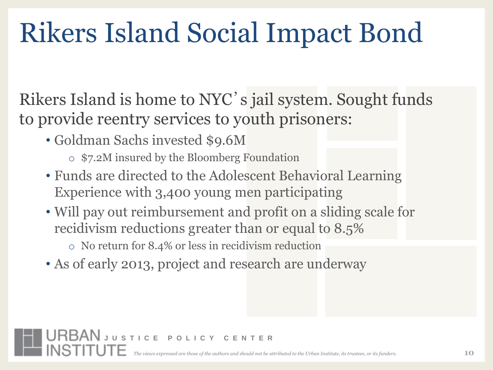## Rikers Island Social Impact Bond

Rikers Island is home to NYC's jail system. Sought funds to provide reentry services to youth prisoners:

• Goldman Sachs invested \$9.6M

- o \$7.2M insured by the Bloomberg Foundation
- Funds are directed to the Adolescent Behavioral Learning Experience with 3,400 young men participating
- Will pay out reimbursement and profit on a sliding scale for recidivism reductions greater than or equal to 8.5%
	- o No return for 8.4% or less in recidivism reduction
- As of early 2013, project and research are underway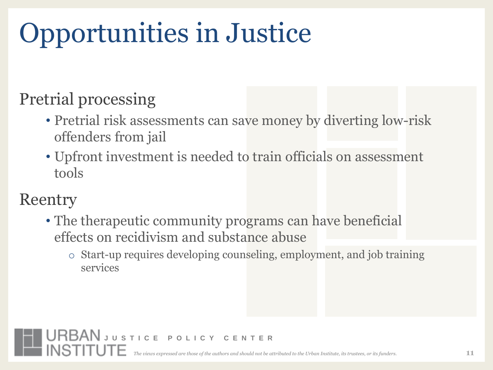## Opportunities in Justice

#### Pretrial processing

- Pretrial risk assessments can save money by diverting low-risk offenders from jail
- Upfront investment is needed to train officials on assessment tools

#### Reentry

- The therapeutic community programs can have beneficial effects on recidivism and substance abuse
	- o Start-up requires developing counseling, employment, and job training services

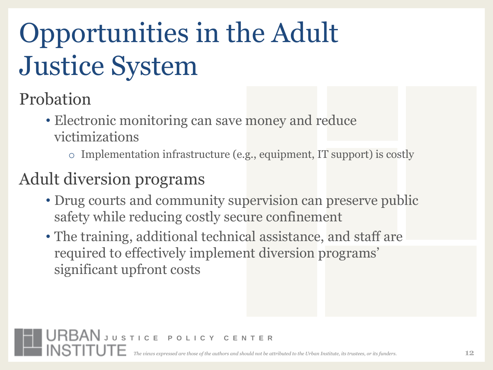## Opportunities in the Adult Justice System

Probation

- Electronic monitoring can save money and reduce victimizations
	- o Implementation infrastructure (e.g., equipment, IT support) is costly

#### Adult diversion programs

- Drug courts and community supervision can preserve public safety while reducing costly secure confinement
- The training, additional technical assistance, and staff are required to effectively implement diversion programs' significant upfront costs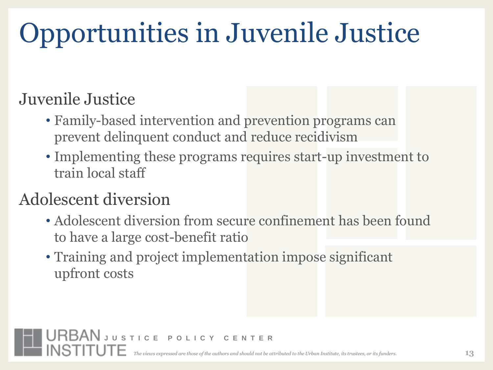# Opportunities in Juvenile Justice

#### Juvenile Justice

- Family-based intervention and prevention programs can prevent delinquent conduct and reduce recidivism
- Implementing these programs requires start-up investment to train local staff

#### Adolescent diversion

- Adolescent diversion from secure confinement has been found to have a large cost-benefit ratio
- Training and project implementation impose significant upfront costs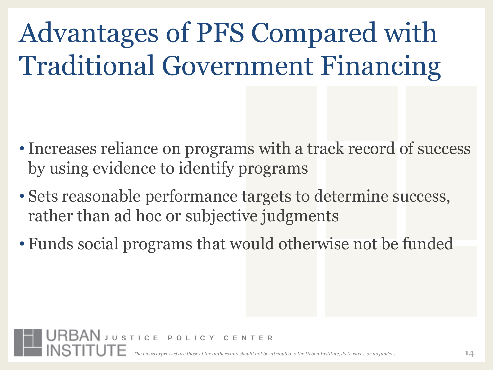Advantages of PFS Compared with Traditional Government Financing

- Increases reliance on programs with a track record of success by using evidence to identify programs
- Sets reasonable performance targets to determine success, rather than ad hoc or subjective judgments
- Funds social programs that would otherwise not be funded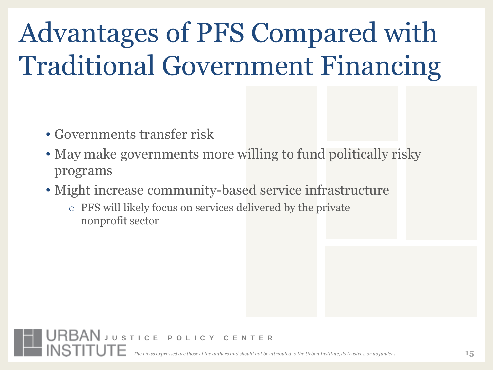## Advantages of PFS Compared with Traditional Government Financing

- Governments transfer risk
- May make governments more willing to fund politically risky programs
- Might increase community-based service infrastructure
	- o PFS will likely focus on services delivered by the private nonprofit sector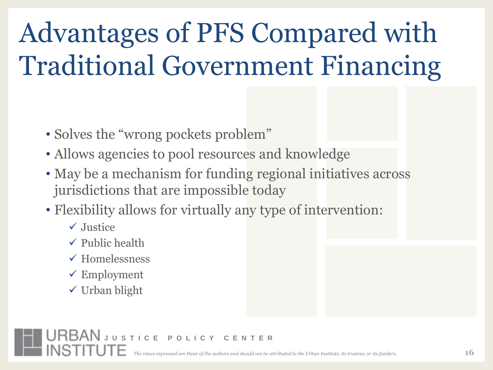## Advantages of PFS Compared with Traditional Government Financing

- Solves the "wrong pockets problem"
- Allows agencies to pool resources and knowledge
- May be a mechanism for funding regional initiatives across jurisdictions that are impossible today
- Flexibility allows for virtually any type of intervention:
	- $\sqrt{\frac{1}{1}}$ Justice
	- $\checkmark$  Public health
	- $\checkmark$  Homelessness
	- $\checkmark$  Employment
	- $\checkmark$  Urban blight

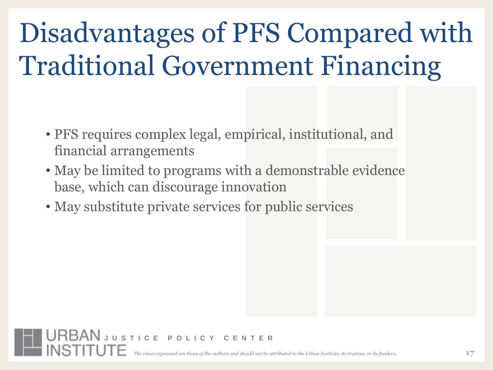## Disadvantages of PFS Compared with Traditional Government Financing

- PFS requires complex legal, empirical, institutional, and financial arrangements
- May be limited to programs with a demonstrable evidence base, which can discourage innovation
- May substitute private services for public services

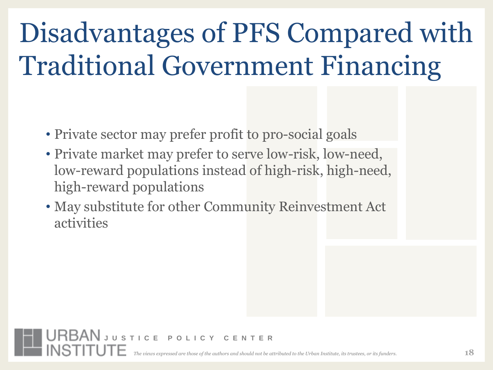## Disadvantages of PFS Compared with Traditional Government Financing

- Private sector may prefer profit to pro-social goals
- Private market may prefer to serve low-risk, low-need, low-reward populations instead of high-risk, high-need, high-reward populations
- May substitute for other Community Reinvestment Act activities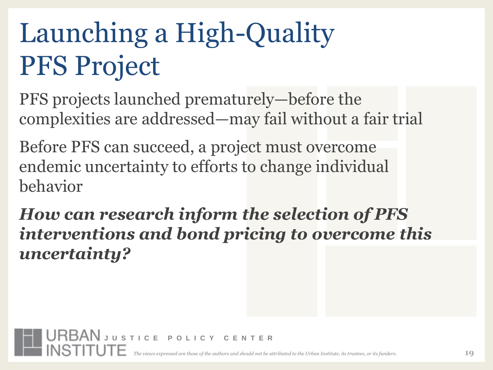## Launching a High-Quality PFS Project

PFS projects launched prematurely—before the complexities are addressed—may fail without a fair trial

Before PFS can succeed, a project must overcome endemic uncertainty to efforts to change individual behavior

*How can research inform the selection of PFS interventions and bond pricing to overcome this uncertainty?*

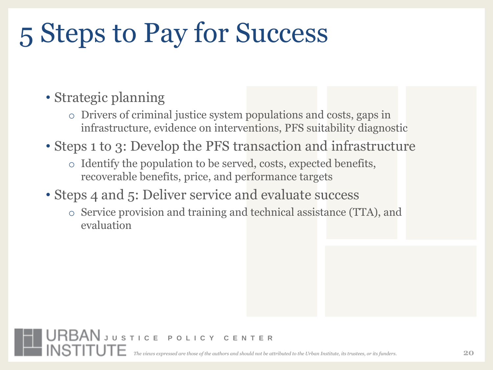## 5 Steps to Pay for Success

- Strategic planning
	- o Drivers of criminal justice system populations and costs, gaps in infrastructure, evidence on interventions, PFS suitability diagnostic
- Steps 1 to 3: Develop the PFS transaction and infrastructure
	- o Identify the population to be served, costs, expected benefits, recoverable benefits, price, and performance targets
- Steps 4 and 5: Deliver service and evaluate success

**URBAN** JUSTICE POLICY CENTER

o Service provision and training and technical assistance (TTA), and evaluation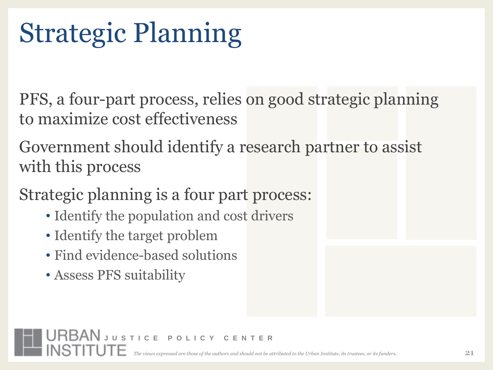## Strategic Planning

PFS, a four-part process, relies on good strategic planning to maximize cost effectiveness

Government should identify a research partner to assist with this process

Strategic planning is a four part process:

- Identify the population and cost drivers
- Identify the target problem
- Find evidence-based solutions

**URBAN** JUSTICE POLICY CENTER

• Assess PFS suitability

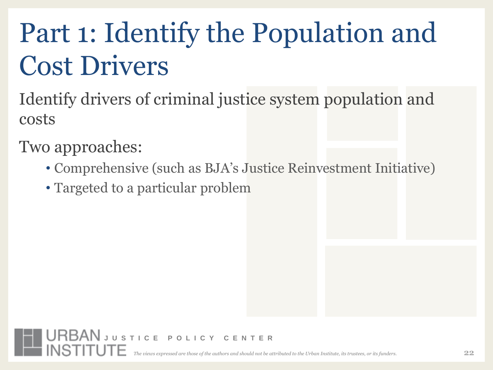## Part 1: Identify the Population and Cost Drivers

Identify drivers of criminal justice system population and costs

Two approaches:

- Comprehensive (such as BJA's Justice Reinvestment Initiative)
- Targeted to a particular problem

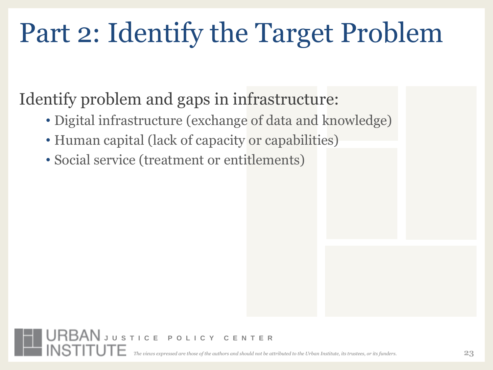## Part 2: Identify the Target Problem

#### Identify problem and gaps in infrastructure:

- Digital infrastructure (exchange of data and knowledge)
- Human capital (lack of capacity or capabilities)
- Social service (treatment or entitlements)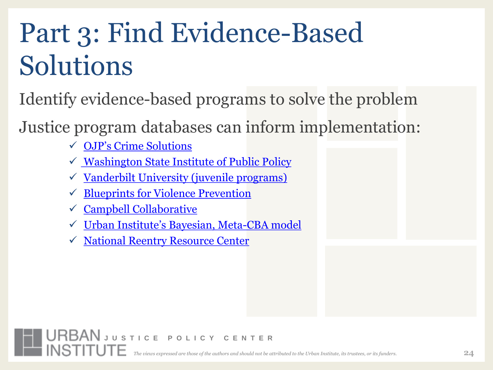## Part 3: Find Evidence-Based Solutions

Identify evidence-based programs to solve the problem

Justice program databases can inform implementation:

- [OJP's Crime Solutions](http://www.crimesolutions.gov/)
- $\checkmark$  [Washington State Institute of Public Policy](http://www.wsipp.wa.gov/)
- $\checkmark$  [Vanderbilt University \(juvenile programs\)](http://peabody.vanderbilt.edu/research/pri/projects/by_research_method.php)
- $\checkmark$  Blueprints for Violence Prevention
- $\checkmark$  [Campbell Collaborative](http://www.campbellcollaboration.org/)
- [Urban Institute's Bayesian, Meta](http://www.dccrimepolicy.org/costbenefitanalysis/index.cfm)[-CBA model](http://www.dccrimepolicy.org/costbenefitanalysis/index.cfm)
- $\sqrt{National Reentry Resource Center}$  $\sqrt{National Reentry Resource Center}$  $\sqrt{National Reentry Resource Center}$

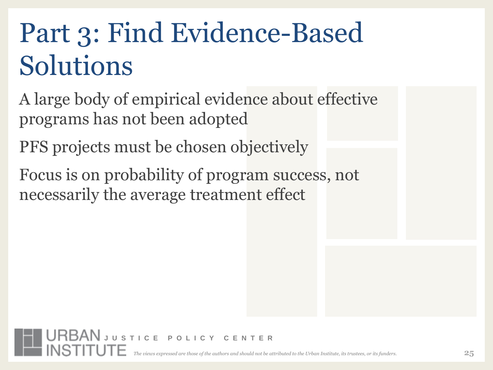## Part 3: Find Evidence-Based Solutions

A large body of empirical evidence about effective programs has not been adopted

PFS projects must be chosen objectively

Focus is on probability of program success, not necessarily the average treatment effect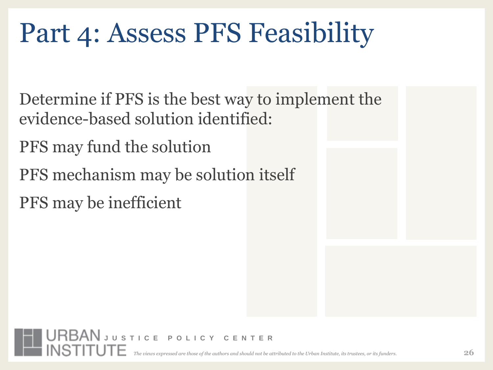Determine if PFS is the best way to implement the evidence-based solution identified:

PFS may fund the solution

PFS mechanism may be solution itself

**URBAN** JUSTICE POLICY CENTER

PFS may be inefficient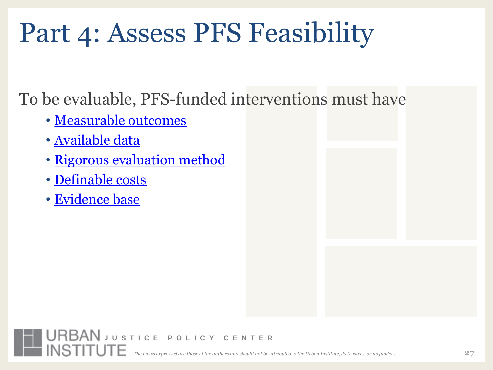To be evaluable, PFS-funded interventions must have

- [Measurable outcomes](#page-48-0)
- [Available data](#page-49-0)
- [Rigorous evaluation method](#page-50-0)
- [Definable costs](#page-51-0)
- [Evidence base](#page-52-0)

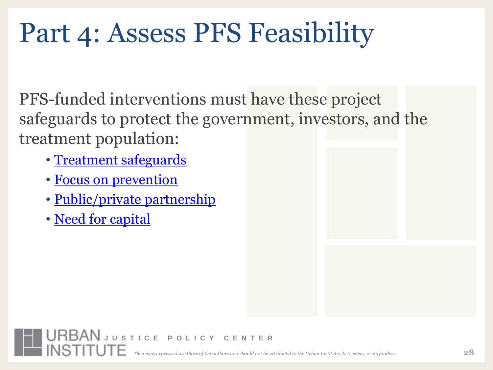PFS-funded interventions must have these project safeguards to protect the government, investors, and the treatment population:

- [Treatment safeguards](#page-54-0)
- [Focus on prevention](#page-55-0)
- [Public/private partnership](#page-56-0)

**URBAN** JUSTICE POLICY CENTER

• [Need for capital](#page-57-0)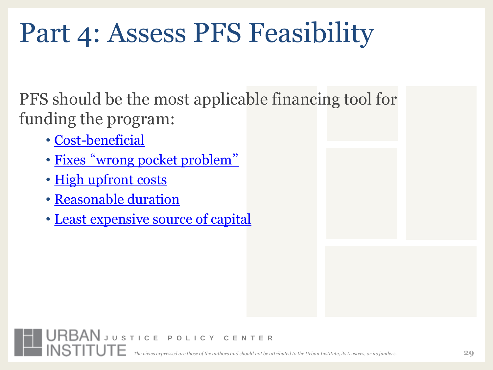PFS should be the most applicable financing tool for funding the program:

- [Cost-beneficial](#page-59-0)
- [Fixes](#page-60-0) ["](#page-60-0) [wrong pocket problem](#page-60-0)["](#page-60-0)
- [High upfront costs](#page-61-0)
- [Reasonable duration](#page-62-0)
- [Least expensive source of capital](#page-63-0)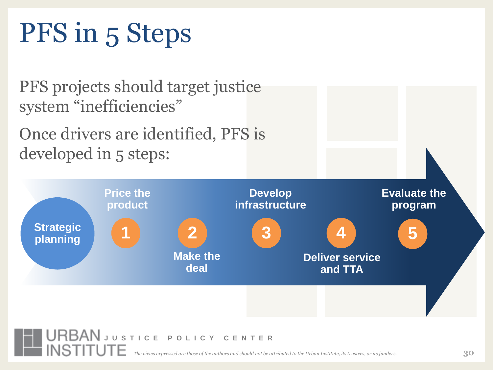## PFS in 5 Steps

PFS projects should target justice system "inefficiencies"

Once drivers are identified, PFS is developed in 5 steps:



*The views expressed are those of the authors and should not be attributed to the Urban Institute, its trustees, or its funders.*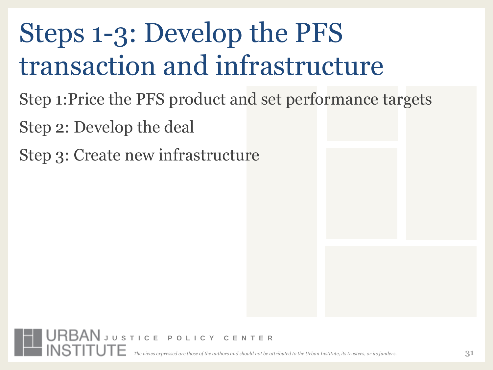## Steps 1-3: Develop the PFS transaction and infrastructure

- Step 1:Price the PFS product and set performance targets
- Step 2: Develop the deal
- Step 3: Create new infrastructure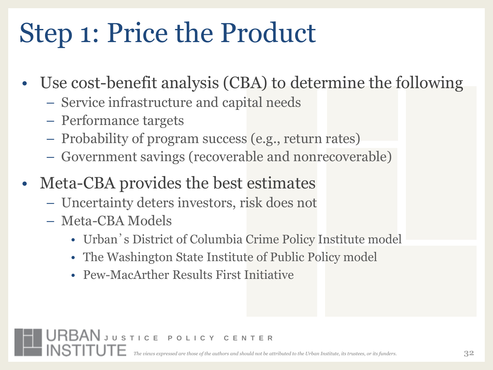## Step 1: Price the Product

- Use cost-benefit analysis (CBA) to determine the following
	- Service infrastructure and capital needs
	- Performance targets
	- Probability of program success (e.g., return rates)
	- Government savings (recoverable and nonrecoverable)
- Meta-CBA provides the best estimates
	- Uncertainty deters investors, risk does not
	- Meta-CBA Models
		- Urban's District of Columbia Crime Policy Institute model
		- The Washington State Institute of Public Policy model
		- Pew-MacArther Results First Initiative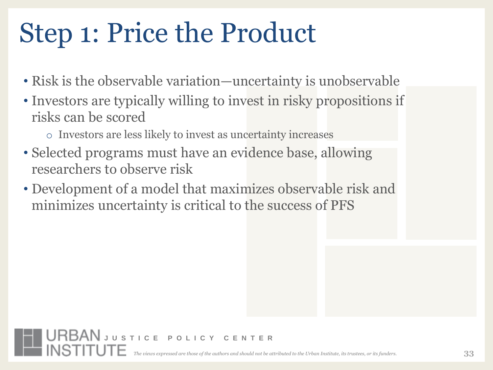### Step 1: Price the Product

- Risk is the observable variation—uncertainty is unobservable
- Investors are typically willing to invest in risky propositions if risks can be scored
	- o Investors are less likely to invest as uncertainty increases
- Selected programs must have an evidence base, allowing researchers to observe risk
- Development of a model that maximizes observable risk and minimizes uncertainty is critical to the success of PFS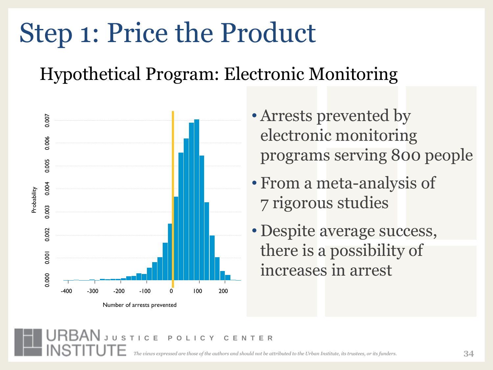### Step 1: Price the Product

Hypothetical Program: Electronic Monitoring



Number of arrests prevented

- Arrests prevented by electronic monitoring programs serving 800 people
- From a meta-analysis of 7 rigorous studies
- Despite average success, there is a possibility of increases in arrest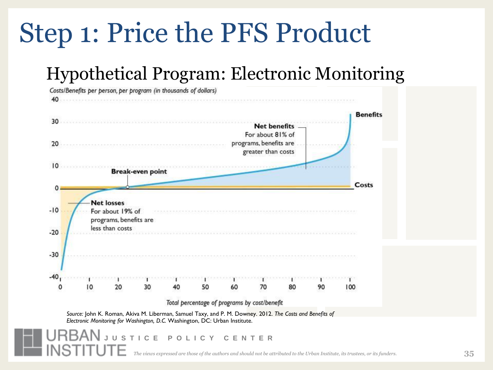#### Step 1: Price the PFS Product

#### Hypothetical Program: Electronic Monitoring

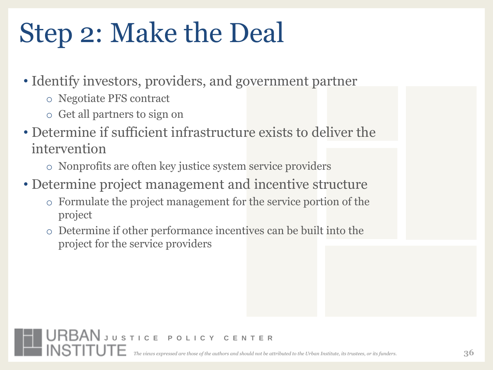### Step 2: Make the Deal

- Identify investors, providers, and government partner
	- o Negotiate PFS contract
	- o Get all partners to sign on
- Determine if sufficient infrastructure exists to deliver the intervention
	- o Nonprofits are often key justice system service providers
- Determine project management and incentive structure
	- o Formulate the project management for the service portion of the project
	- o Determine if other performance incentives can be built into the project for the service providers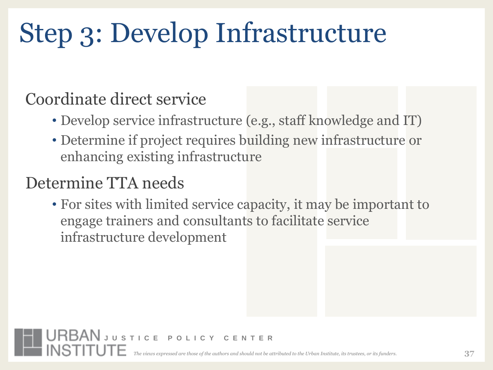## Step 3: Develop Infrastructure

#### Coordinate direct service

- Develop service infrastructure (e.g., staff knowledge and IT)
- Determine if project requires building new infrastructure or enhancing existing infrastructure

#### Determine TTA needs

• For sites with limited service capacity, it may be important to engage trainers and consultants to facilitate service infrastructure development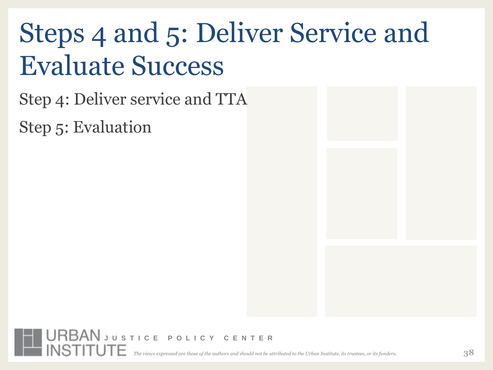## Steps 4 and 5: Deliver Service and Evaluate Success

Step 4: Deliver service and TTA

Step 5: Evaluation

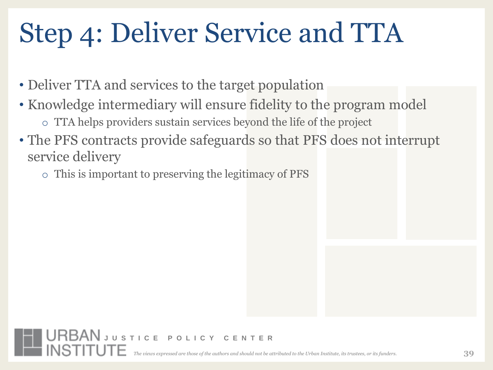## Step 4: Deliver Service and TTA

- Deliver TTA and services to the target population
- Knowledge intermediary will ensure fidelity to the program model o TTA helps providers sustain services beyond the life of the project
- The PFS contracts provide safeguards so that PFS does not interrupt service delivery
	- o This is important to preserving the legitimacy of PFS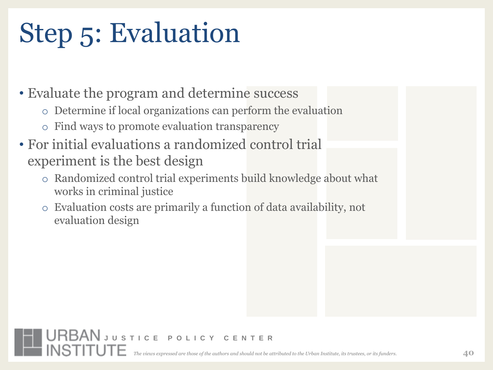## Step 5: Evaluation

• Evaluate the program and determine success

- o Determine if local organizations can perform the evaluation
- o Find ways to promote evaluation transparency

- For initial evaluations a randomized control trial experiment is the best design
	- o Randomized control trial experiments build knowledge about what works in criminal justice
	- Evaluation costs are primarily a function of data availability, not evaluation design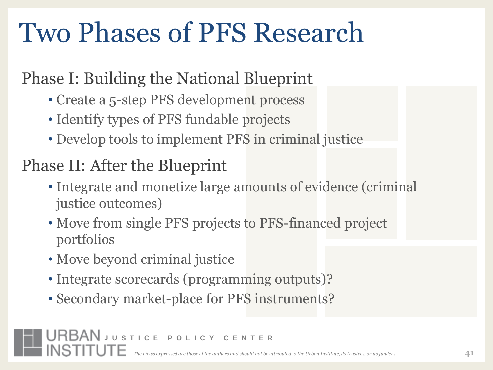## Two Phases of PFS Research

#### Phase I: Building the National Blueprint

- Create a 5-step PFS development process
- Identify types of PFS fundable projects
- Develop tools to implement PFS in criminal justice

#### Phase II: After the Blueprint

- Integrate and monetize large amounts of evidence (criminal justice outcomes)
- Move from single PFS projects to PFS-financed project portfolios
- Move beyond criminal justice
- Integrate scorecards (programming outputs)?
- Secondary market-place for PFS instruments?

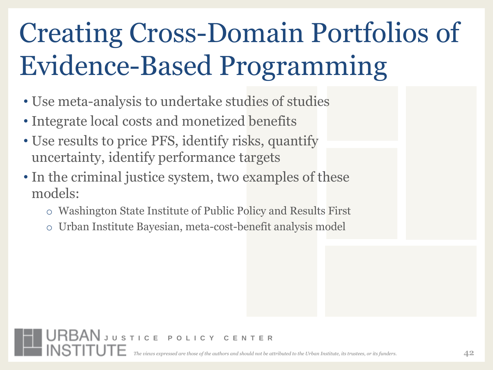## Creating Cross-Domain Portfolios of Evidence-Based Programming

- Use meta-analysis to undertake studies of studies
- Integrate local costs and monetized benefits

- Use results to price PFS, identify risks, quantify uncertainty, identify performance targets
- In the criminal justice system, two examples of these models:
	- o Washington State Institute of Public Policy and Results First
	- o Urban Institute Bayesian, meta-cost-benefit analysis model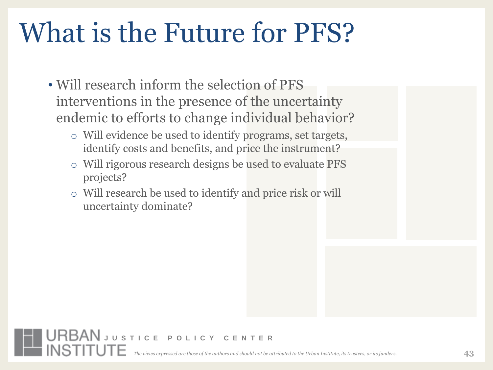## What is the Future for PFS?

- Will research inform the selection of PFS interventions in the presence of the uncertainty endemic to efforts to change individual behavior?
	- o Will evidence be used to identify programs, set targets, identify costs and benefits, and price the instrument?
	- o Will rigorous research designs be used to evaluate PFS projects?
	- o Will research be used to identify and price risk or will uncertainty dominate?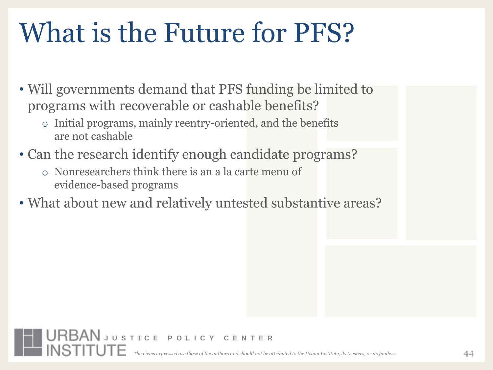## What is the Future for PFS?

- Will governments demand that PFS funding be limited to programs with recoverable or cashable benefits?
	- o Initial programs, mainly reentry-oriented, and the benefits are not cashable
- Can the research identify enough candidate programs?
	- o Nonresearchers think there is an a la carte menu of evidence-based programs
- What about new and relatively untested substantive areas?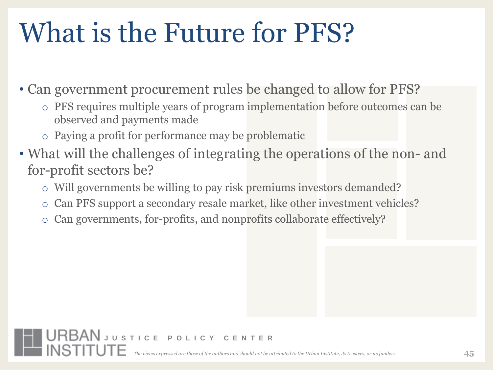## What is the Future for PFS?

• Can government procurement rules be changed to allow for PFS?

- o PFS requires multiple years of program implementation before outcomes can be observed and payments made
- o Paying a profit for performance may be problematic

- What will the challenges of integrating the operations of the non- and for-profit sectors be?
	- o Will governments be willing to pay risk premiums investors demanded?
	- o Can PFS support a secondary resale market, like other investment vehicles?
	- o Can governments, for-profits, and nonprofits collaborate effectively?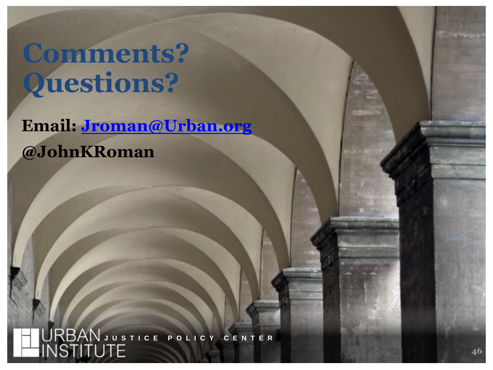**Comments? Questions?**

**Email: [Jroman@Urban.org](mailto:Jroman@Urban.org) @JohnKRoman**

*The views expressed are those of the authors and should not be attributed to the Urban Institute, its trustees, or its funders.* **J U S T I C E P O L I C Y C E N T E R**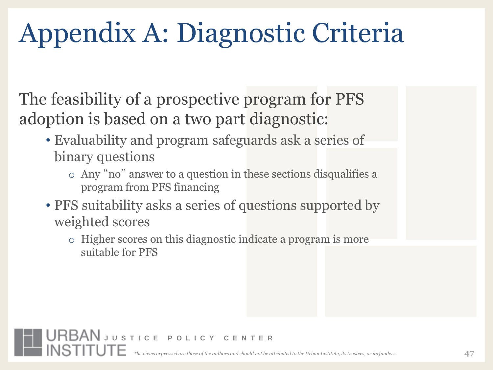## Appendix A: Diagnostic Criteria

The feasibility of a prospective program for PFS adoption is based on a two part diagnostic:

- Evaluability and program safeguards ask a series of binary questions
	- o Any "no" answer to a question in these sections disqualifies a program from PFS financing
- PFS suitability asks a series of questions supported by weighted scores
	- o Higher scores on this diagnostic indicate a program is more suitable for PFS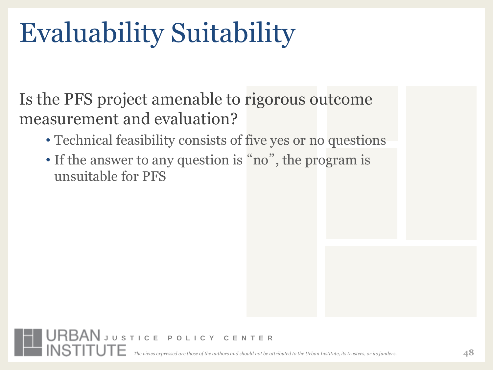## Evaluability Suitability

**URBAN** JUSTICE POLICY CENTER

Is the PFS project amenable to rigorous outcome measurement and evaluation?

- Technical feasibility consists of five yes or no questions
- If the answer to any question is "no", the program is unsuitable for PFS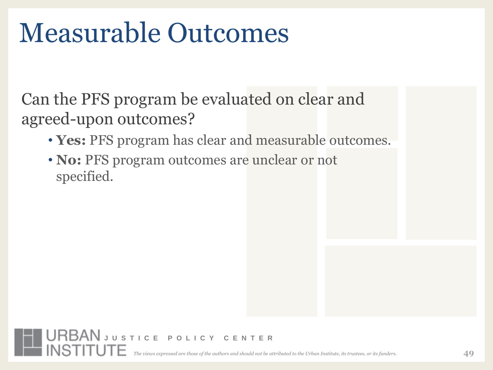### Measurable Outcomes

Can the PFS program be evaluated on clear and agreed-upon outcomes?

- **Yes:** PFS program has clear and measurable outcomes.
- <span id="page-48-0"></span>• **No:** PFS program outcomes are unclear or not specified.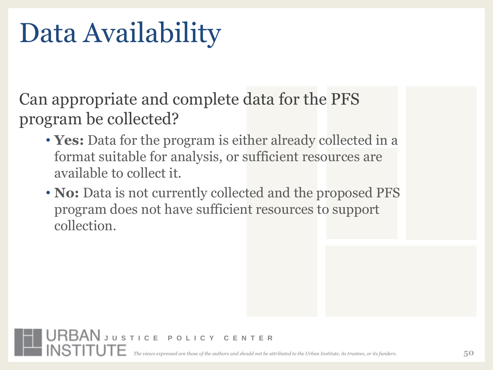### Data Availability

Can appropriate and complete data for the PFS program be collected?

- **Yes:** Data for the program is either already collected in a format suitable for analysis, or sufficient resources are available to collect it.
- <span id="page-49-0"></span>• **No:** Data is not currently collected and the proposed PFS program does not have sufficient resources to support collection.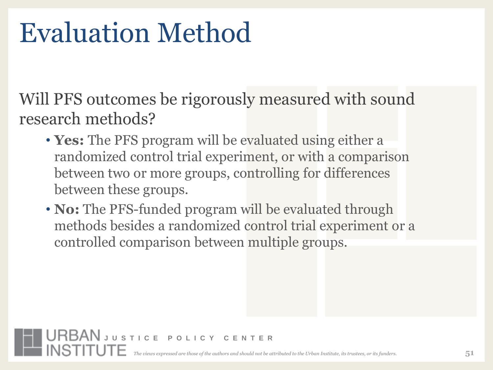### Evaluation Method

Will PFS outcomes be rigorously measured with sound research methods?

- **Yes:** The PFS program will be evaluated using either a randomized control trial experiment, or with a comparison between two or more groups, controlling for differences between these groups.
- <span id="page-50-0"></span>• **No:** The PFS-funded program will be evaluated through methods besides a randomized control trial experiment or a controlled comparison between multiple groups.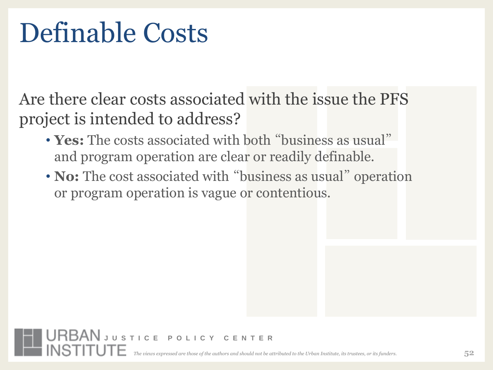### Definable Costs

Are there clear costs associated with the issue the PFS project is intended to address?

• **Yes:** The costs associated with both "business as usual" and program operation are clear or readily definable.

<span id="page-51-0"></span>**URBAN** JUSTICE POLICY CENTER

• **No:** The cost associated with "business as usual" operation or program operation is vague or contentious.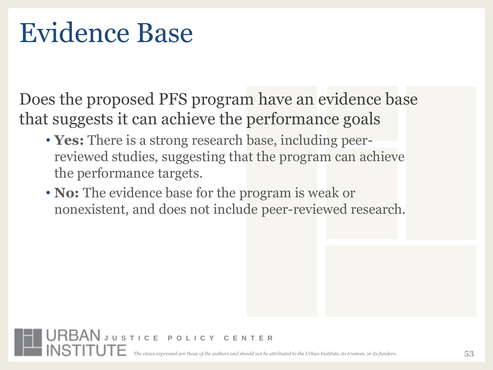### Evidence Base

Does the proposed PFS program have an evidence base that suggests it can achieve the performance goals

- **Yes:** There is a strong research base, including peerreviewed studies, suggesting that the program can achieve the performance targets.
- <span id="page-52-0"></span>• **No:** The evidence base for the program is weak or nonexistent, and does not include peer-reviewed research.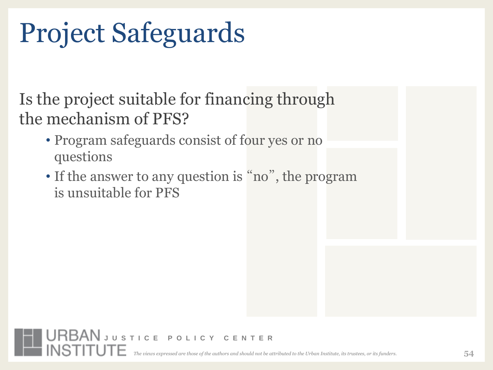## Project Safeguards

Is the project suitable for financing through the mechanism of PFS?

- Program safeguards consist of four yes or no questions
- If the answer to any question is "no", the program is unsuitable for PFS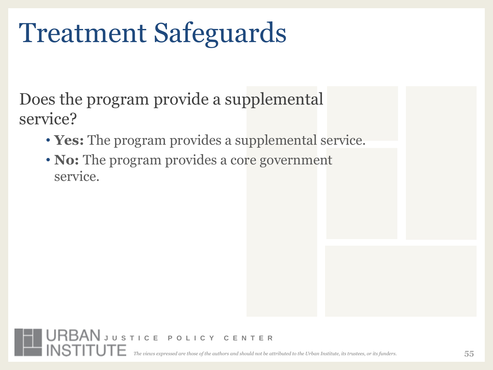### Treatment Safeguards

Does the program provide a supplemental service?

- **Yes:** The program provides a supplemental service.
- <span id="page-54-0"></span>• **No:** The program provides a core government service.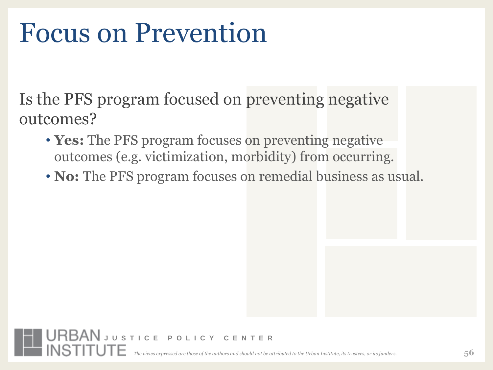#### Focus on Prevention

Is the PFS program focused on preventing negative outcomes?

- **Yes:** The PFS program focuses on preventing negative outcomes (e.g. victimization, morbidity) from occurring.
- **No:** The PFS program focuses on remedial business as usual.

<span id="page-55-0"></span>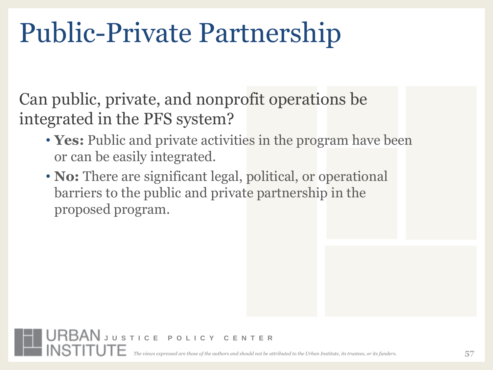### Public-Private Partnership

Can public, private, and nonprofit operations be integrated in the PFS system?

- **Yes:** Public and private activities in the program have been or can be easily integrated.
- <span id="page-56-0"></span>• **No:** There are significant legal, political, or operational barriers to the public and private partnership in the proposed program.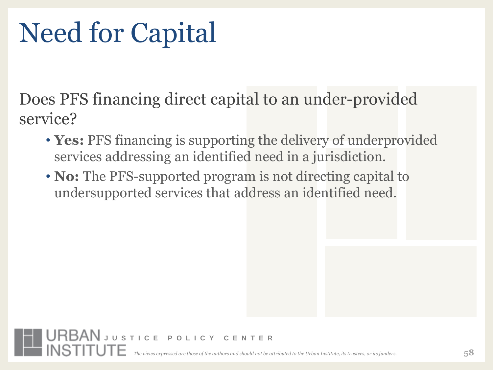## Need for Capital

Does PFS financing direct capital to an under-provided service?

- **Yes:** PFS financing is supporting the delivery of underprovided services addressing an identified need in a jurisdiction.
- <span id="page-57-0"></span>• **No:** The PFS-supported program is not directing capital to undersupported services that address an identified need.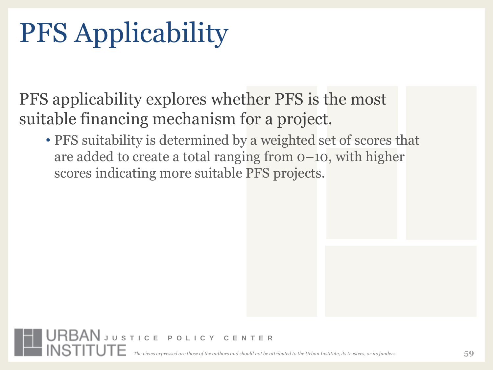## PFS Applicability

PFS applicability explores whether PFS is the most suitable financing mechanism for a project.

• PFS suitability is determined by a weighted set of scores that are added to create a total ranging from 0–10, with higher scores indicating more suitable PFS projects.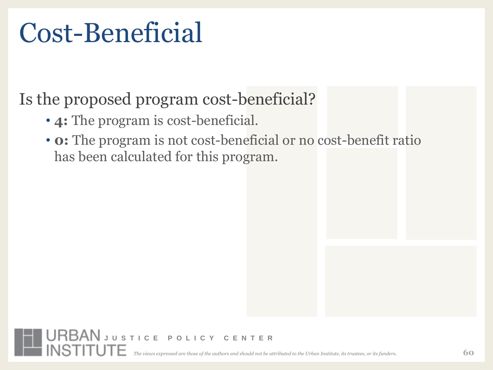#### Cost-Beneficial

#### Is the proposed program cost-beneficial?

- **4:** The program is cost-beneficial.
- <span id="page-59-0"></span>• **0:** The program is not cost-beneficial or no cost-benefit ratio has been calculated for this program.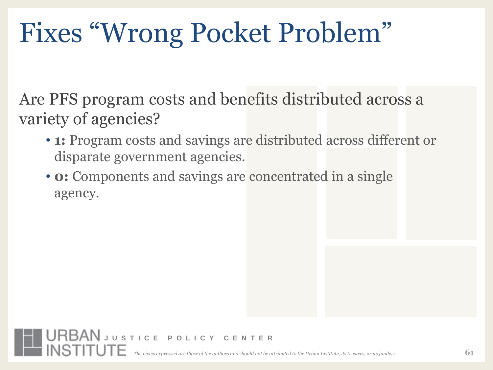## Fixes "Wrong Pocket Problem"

Are PFS program costs and benefits distributed across a variety of agencies?

- **1:** Program costs and savings are distributed across different or disparate government agencies.
- <span id="page-60-0"></span>• **0:** Components and savings are concentrated in a single agency.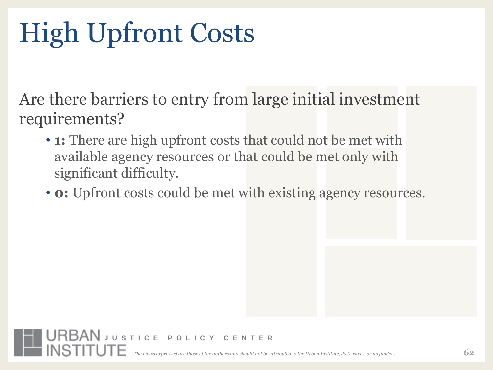# High Upfront Costs

Are there barriers to entry from large initial investment requirements?

- **1:** There are high upfront costs that could not be met with available agency resources or that could be met only with significant difficulty.
- <span id="page-61-0"></span>• **0:** Upfront costs could be met with existing agency resources.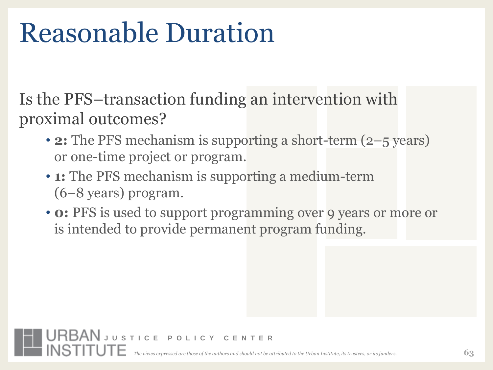### Reasonable Duration

<span id="page-62-0"></span>**URBAN** JUSTICE POLICY CENTER

Is the PFS–transaction funding an intervention with proximal outcomes?

- **2:** The PFS mechanism is supporting a short-term (2–5 years) or one-time project or program.
- **1:** The PFS mechanism is supporting a medium-term (6–8 years) program.
- **0:** PFS is used to support programming over 9 years or more or is intended to provide permanent program funding.